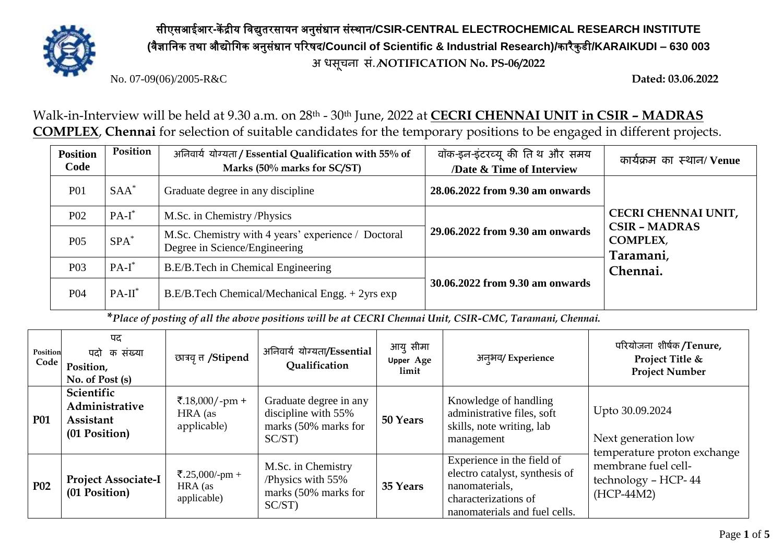

सीएसआईआर**-**कें द्रीय विद्युतरसायन अनुसंधान संस्थान**/CSIR-CENTRAL ELECTROCHEMICAL RESEARCH INSTITUTE (**िैज्ञावनक तथा औद्योविक अनुसंधान पररषद**/Council of Scientific & Industrial Research)/**कारैकु डी**/KARAIKUDI – 630 003 अ िसूचना सं./NOTIFICATION No. PS-06/2022**

No. 07-09(06)/2005-R&C **Dated: 03.06.2022**

Walk-in-Interview will be held at 9.30 a.m. on 28th - 30th June, 2022 at **CECRI CHENNAI UNIT in CSIR – MADRAS COMPLEX**, **Chennai** for selection of suitable candidates for the temporary positions to be engaged in different projects.

| <b>Position</b><br>Code | Position  | अनिवार्य योग्यता / Essential Qualification with 55% of<br>Marks (50% marks for SC/ST) | वॉक-इन-इंटरव्यू की तिथ और समय<br>/Date & Time of Interview | कार्यक्रम का स्थान/Venue                                                                       |
|-------------------------|-----------|---------------------------------------------------------------------------------------|------------------------------------------------------------|------------------------------------------------------------------------------------------------|
| <b>P01</b>              | $SAA^*$   | Graduate degree in any discipline                                                     | 28.06.2022 from 9.30 am onwards                            |                                                                                                |
| P <sub>02</sub>         | $PA-I^*$  | M.Sc. in Chemistry/Physics                                                            |                                                            | <b>CECRI CHENNAI UNIT,</b><br><b>CSIR - MADRAS</b><br><b>COMPLEX,</b><br>Taramani,<br>Chennai. |
| P <sub>05</sub>         | $SPA^*$   | M.Sc. Chemistry with 4 years' experience / Doctoral<br>Degree in Science/Engineering  | 29.06.2022 from 9.30 am onwards                            |                                                                                                |
| P <sub>0</sub> 3        | $PA-I^*$  | B.E/B.Tech in Chemical Engineering                                                    |                                                            |                                                                                                |
| <b>P04</b>              | $PA-II^*$ | $B.E/B.$ Tech Chemical/Mechanical Engg. $+2$ yrs exp                                  | 30.06.2022 from 9.30 am onwards                            |                                                                                                |

**\****Place of posting of all the above positions will be at CECRI Chennai Unit, CSIR-CMC, Taramani, Chennai.*

| Position<br>Code | पद<br>पदो क संख्या<br>Position,<br>No. of Post (s)         | छात्रवृत्त /Stipend                      | अनिवार्य योग्यता/Essential<br><b>Qualification</b>                             | आयु सीमा<br><b>Upper Age</b><br>limit | अन्अय/Experience                                                                                                                        | परियोजना शीर्षक/Tenure,<br>Project Title &<br><b>Project Number</b>                                                                 |  |
|------------------|------------------------------------------------------------|------------------------------------------|--------------------------------------------------------------------------------|---------------------------------------|-----------------------------------------------------------------------------------------------------------------------------------------|-------------------------------------------------------------------------------------------------------------------------------------|--|
| <b>P01</b>       | Scientific<br>Administrative<br>Assistant<br>(01 Position) | ₹.18,000/-pm +<br>HRA (as<br>applicable) | Graduate degree in any<br>discipline with 55%<br>marks (50% marks for<br>SC/ST | 50 Years                              | Knowledge of handling<br>administrative files, soft<br>skills, note writing, lab<br>management                                          | Upto 30.09.2024<br>Next generation low<br>temperature proton exchange<br>membrane fuel cell-<br>technology - HCP-44<br>$(HCP-44M2)$ |  |
| <b>P02</b>       | <b>Project Associate-I</b><br>(01 Position)                | ₹.25,000/-pm +<br>HRA (as<br>applicable) | M.Sc. in Chemistry<br>/Physics with 55%<br>marks (50% marks for<br>$SC/ST$ )   | 35 Years                              | Experience in the field of<br>electro catalyst, synthesis of<br>nanomaterials,<br>characterizations of<br>nanomaterials and fuel cells. |                                                                                                                                     |  |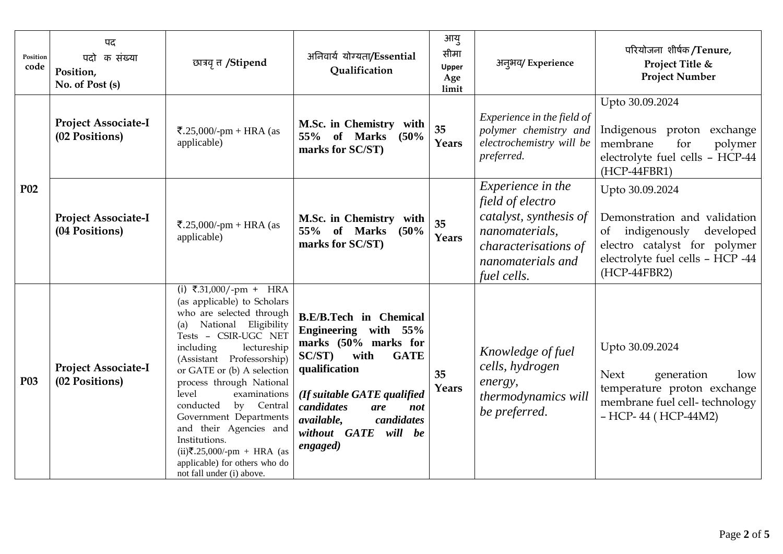| Position<br>code | पद<br>पदो क संख्या<br>Position,<br>No. of Post (s) | छात्रवृत्त /Stipend                                                                                                                                                                                                                                                                                                                                                                                                                                                                    | अनिवार्य योग्यता/Essential<br>Qualification                                                                                                                                                                                                                | आयु<br>सीमा<br>Upper<br>Age<br>limit | अन्अव/Experience                                                                                                                                            | परियोजना शीर्षक/Tenure,<br>Project Title &<br><b>Project Number</b>                                                                                                 |
|------------------|----------------------------------------------------|----------------------------------------------------------------------------------------------------------------------------------------------------------------------------------------------------------------------------------------------------------------------------------------------------------------------------------------------------------------------------------------------------------------------------------------------------------------------------------------|------------------------------------------------------------------------------------------------------------------------------------------------------------------------------------------------------------------------------------------------------------|--------------------------------------|-------------------------------------------------------------------------------------------------------------------------------------------------------------|---------------------------------------------------------------------------------------------------------------------------------------------------------------------|
| P <sub>0</sub> 2 | <b>Project Associate-I</b><br>(02 Positions)       | ₹.25,000/-pm + HRA (as<br>applicable)                                                                                                                                                                                                                                                                                                                                                                                                                                                  | M.Sc. in Chemistry with<br>55% of Marks<br>(50%<br>marks for SC/ST)                                                                                                                                                                                        | 35<br>Years                          | Experience in the field of<br>polymer chemistry and<br>electrochemistry will be<br>preferred.                                                               | Upto 30.09.2024<br>Indigenous proton exchange<br>membrane<br>for<br>polymer<br>electrolyte fuel cells - HCP-44<br>(HCP-44FBR1)                                      |
|                  | <b>Project Associate-I</b><br>(04 Positions)       | ₹.25,000/-pm + HRA (as<br>applicable)                                                                                                                                                                                                                                                                                                                                                                                                                                                  | M.Sc. in Chemistry with<br>55% of Marks<br>(50%<br>marks for SC/ST)                                                                                                                                                                                        | 35<br>Years                          | <i>Experience in the</i><br>field of electro<br>catalyst, synthesis of<br>nanomaterials,<br><i>characterisations of</i><br>nanomaterials and<br>fuel cells. | Upto 30.09.2024<br>Demonstration and validation<br>of indigenously<br>developed<br>electro catalyst for polymer<br>electrolyte fuel cells - HCP -44<br>(HCP-44FBR2) |
| <b>P03</b>       | <b>Project Associate-I</b><br>(02 Positions)       | (i) ₹.31,000/-pm + HRA<br>(as applicable) to Scholars<br>who are selected through<br>National Eligibility<br>(a)<br>Tests - CSIR-UGC NET<br>including<br>lectureship<br>(Assistant Professorship)<br>or GATE or (b) A selection<br>process through National<br>level<br>examinations<br>Central<br>conducted<br>by<br>Government Departments<br>and their Agencies and<br>Institutions.<br>$(ii)$ ₹.25,000/-pm + HRA (as<br>applicable) for others who do<br>not fall under (i) above. | <b>B.E/B.Tech in Chemical</b><br>Engineering with 55%<br>marks (50% marks for<br><b>GATE</b><br>SC/ST)<br>with<br>qualification<br>(If suitable GATE qualified<br>candidates<br>are<br>not<br>candidates<br>available,<br>without GATE will be<br>engaged) | 35<br>Years                          | Knowledge of fuel<br>cells, hydrogen<br>energy,<br>thermodynamics will<br>be preferred.                                                                     | Upto 30.09.2024<br><b>Next</b><br>generation<br>low<br>temperature proton exchange<br>membrane fuel cell-technology<br>- HCP-44 (HCP-44M2)                          |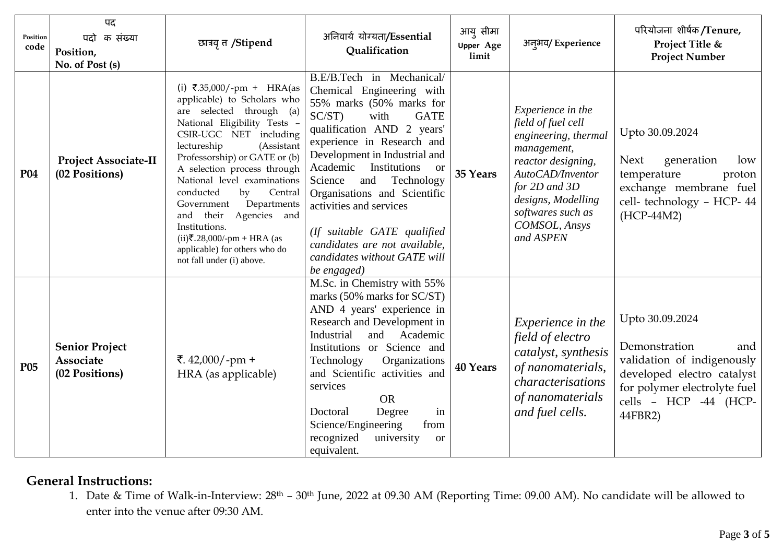| Position<br>code | पद<br>क संख्या<br>पदो<br>Position,<br>No. of Post (s) | छात्रवृत्त /Stipend                                                                                                                                                                                                                                                                                                                                                                                                                                                                   | अनिवार्य योग्यता/Essential<br>Qualification                                                                                                                                                                                                                                                                                                                                                                                                                            | आयु सीमा<br><b>Upper Age</b><br>limit | अन्अय/Experience                                                                                                                                                                                                       | परियोजना शीर्षक/Tenure,<br>Project Title &<br><b>Project Number</b>                                                                                                     |
|------------------|-------------------------------------------------------|---------------------------------------------------------------------------------------------------------------------------------------------------------------------------------------------------------------------------------------------------------------------------------------------------------------------------------------------------------------------------------------------------------------------------------------------------------------------------------------|------------------------------------------------------------------------------------------------------------------------------------------------------------------------------------------------------------------------------------------------------------------------------------------------------------------------------------------------------------------------------------------------------------------------------------------------------------------------|---------------------------------------|------------------------------------------------------------------------------------------------------------------------------------------------------------------------------------------------------------------------|-------------------------------------------------------------------------------------------------------------------------------------------------------------------------|
| <b>P04</b>       | <b>Project Associate-II</b><br>(02 Positions)         | (i) ₹.35,000/-pm + HRA(as<br>applicable) to Scholars who<br>are selected through (a)<br>National Eligibility Tests -<br>CSIR-UGC NET including<br>lectureship<br>(Assistant<br>Professorship) or GATE or (b)<br>A selection process through<br>National level examinations<br>conducted<br>Central<br>by<br>Departments<br>Government<br>their<br>Agencies and<br>and<br>Institutions.<br>$(ii)$ ₹.28,000/-pm + HRA (as<br>applicable) for others who do<br>not fall under (i) above. | B.E/B.Tech in Mechanical/<br>Chemical Engineering with<br>55% marks (50% marks for<br>$SC/ST$ )<br>with<br><b>GATE</b><br>qualification AND 2 years'<br>experience in Research and<br>Development in Industrial and<br>Institutions<br>Academic<br><b>or</b><br>and<br>Technology<br>Science<br>Organisations and Scientific<br>activities and services<br>(If suitable GATE qualified<br>candidates are not available,<br>candidates without GATE will<br>be engaged) | 35 Years                              | Experience in the<br>field of fuel cell<br>engineering, thermal<br>management,<br>reactor designing,<br>AutoCAD/Inventor<br>for $2D$ and $3D$<br>designs, Modelling<br>softwares such as<br>COMSOL, Ansys<br>and ASPEN | Upto 30.09.2024<br><b>Next</b><br>generation<br>low<br>temperature<br>proton<br>exchange membrane fuel<br>cell- technology - HCP- 44<br>(HCP-44M2)                      |
| P <sub>05</sub>  | <b>Senior Project</b><br>Associate<br>(02 Positions)  | ₹. $42,000$ /-pm +<br>HRA (as applicable)                                                                                                                                                                                                                                                                                                                                                                                                                                             | $\overline{\text{M.Sc}}$ . in Chemistry with 55%<br>marks (50% marks for SC/ST)<br>AND 4 years' experience in<br>Research and Development in<br>Industrial<br>Academic<br>and<br>Institutions or Science and<br>Technology<br>Organizations<br>and Scientific activities and<br>services<br><b>OR</b><br>Degree<br>Doctoral<br>in<br>Science/Engineering<br>from<br>recognized<br>university<br><b>or</b><br>equivalent.                                               | <b>40 Years</b>                       | Experience in the<br>field of electro<br>catalyst, synthesis<br>of nanomaterials,<br>characterisations<br>of nanomaterials<br>and fuel cells.                                                                          | Upto 30.09.2024<br>Demonstration<br>and<br>validation of indigenously<br>developed electro catalyst<br>for polymer electrolyte fuel<br>cells - HCP -44 (HCP-<br>44FBR2) |

## **General Instructions:**

1. Date & Time of Walk-in-Interview: 28th – 30th June, 2022 at 09.30 AM (Reporting Time: 09.00 AM). No candidate will be allowed to enter into the venue after 09:30 AM.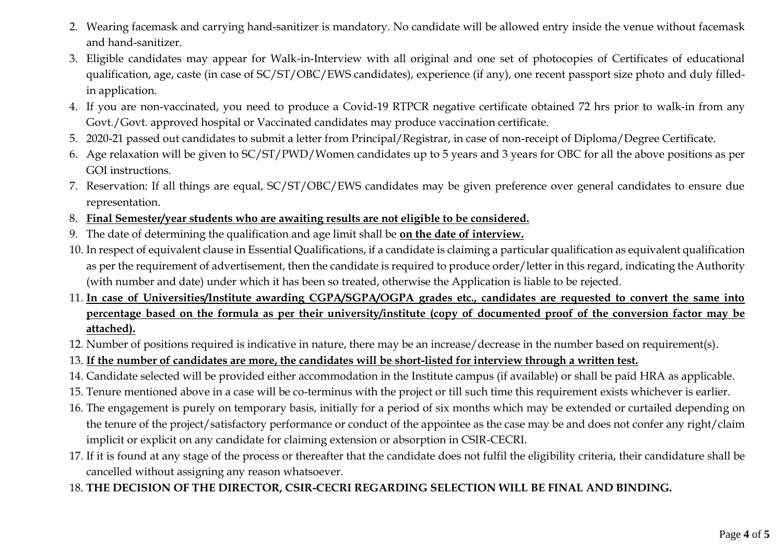- 2. Wearing facemask and carrying hand-sanitizer is mandatory. No candidate will be allowed entry inside the venue without facemask and hand-sanitizer.
- 3. Eligible candidates may appear for Walk-in-Interview with all original and one set of photocopies of Certificates of educational qualification, age, caste (in case of SC/ST/OBC/EWS candidates), experience (if any), one recent passport size photo and duly filledin application.
- 4. If you are non-vaccinated, you need to produce a Covid-19 RTPCR negative certificate obtained 72 hrs prior to walk-in from any Govt./Govt. approved hospital or Vaccinated candidates may produce vaccination certificate.
- 5. 2020-21 passed out candidates to submit a letter from Principal/Registrar, in case of non-receipt of Diploma/Degree Certificate.
- 6. Age relaxation will be given to SC/ST/PWD/Women candidates up to 5 years and 3 years for OBC for all the above positions as per GOI instructions.
- 7. Reservation: If all things are equal, SC/ST/OBC/EWS candidates may be given preference over general candidates to ensure due representation.
- 8. **Final Semester/year students who are awaiting results are not eligible to be considered.**
- 9. The date of determining the qualification and age limit shall be **on the date of interview.**
- 10. In respect of equivalent clause in Essential Qualifications, if a candidate is claiming a particular qualification as equivalent qualification as per the requirement of advertisement, then the candidate is required to produce order/letter in this regard, indicating the Authority (with number and date) under which it has been so treated, otherwise the Application is liable to be rejected.
- 11. **In case of Universities/Institute awarding CGPA/SGPA/OGPA grades etc., candidates are requested to convert the same into percentage based on the formula as per their university/institute (copy of documented proof of the conversion factor may be attached).**
- 12. Number of positions required is indicative in nature, there may be an increase/decrease in the number based on requirement(s).
- 13. **If the number of candidates are more, the candidates will be short-listed for interview through a written test.**
- 14. Candidate selected will be provided either accommodation in the Institute campus (if available) or shall be paid HRA as applicable.
- 15. Tenure mentioned above in a case will be co-terminus with the project or till such time this requirement exists whichever is earlier.
- 16. The engagement is purely on temporary basis, initially for a period of six months which may be extended or curtailed depending on the tenure of the project/satisfactory performance or conduct of the appointee as the case may be and does not confer any right/claim implicit or explicit on any candidate for claiming extension or absorption in CSIR-CECRI.
- 17. If it is found at any stage of the process or thereafter that the candidate does not fulfil the eligibility criteria, their candidature shall be cancelled without assigning any reason whatsoever.
- 18. **THE DECISION OF THE DIRECTOR, CSIR-CECRI REGARDING SELECTION WILL BE FINAL AND BINDING.**